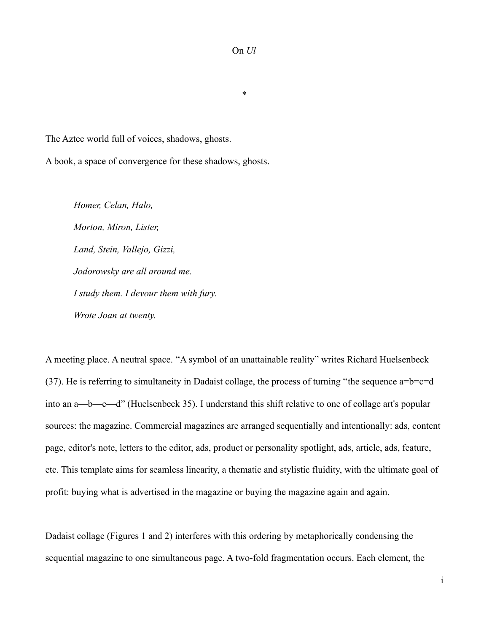On *Ul*

\*

The Aztec world full of voices, shadows, ghosts.

A book, a space of convergence for these shadows, ghosts.

*Homer, Celan, Halo, Morton, Miron, Lister, Land, Stein, Vallejo, Gizzi, Jodorowsky are all around me. I study them. I devour them with fury. Wrote Joan at twenty.*

A meeting place. A neutral space. "A symbol of an unattainable reality" writes Richard Huelsenbeck (37). He is referring to simultaneity in Dadaist collage, the process of turning "the sequence a=b=c=d into an a—b—c—d" (Huelsenbeck 35). I understand this shift relative to one of collage art's popular sources: the magazine. Commercial magazines are arranged sequentially and intentionally: ads, content page, editor's note, letters to the editor, ads, product or personality spotlight, ads, article, ads, feature, etc. This template aims for seamless linearity, a thematic and stylistic fluidity, with the ultimate goal of profit: buying what is advertised in the magazine or buying the magazine again and again.

Dadaist collage (Figures 1 and 2) interferes with this ordering by metaphorically condensing the sequential magazine to one simultaneous page. A two-fold fragmentation occurs. Each element, the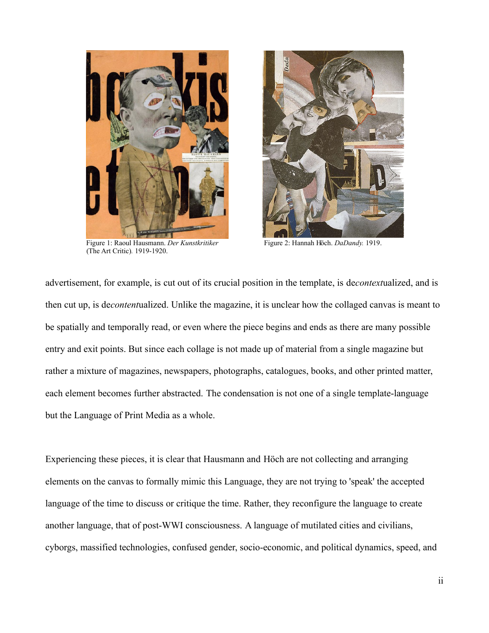

Figure 1: Raoul Hausmann. *Der Kunstkritiker* Figure 2: Hannah Höch. *DaDandy.* 1919. (The Art Critic)*.* 1919-1920.



advertisement, for example, is cut out of its crucial position in the template, is de*context*ualized, and is then cut up, is de*content*ualized. Unlike the magazine, it is unclear how the collaged canvas is meant to be spatially and temporally read, or even where the piece begins and ends as there are many possible entry and exit points. But since each collage is not made up of material from a single magazine but rather a mixture of magazines, newspapers, photographs, catalogues, books, and other printed matter, each element becomes further abstracted. The condensation is not one of a single template-language but the Language of Print Media as a whole.

Experiencing these pieces, it is clear that Hausmann and Höch are not collecting and arranging elements on the canvas to formally mimic this Language, they are not trying to 'speak' the accepted language of the time to discuss or critique the time. Rather, they reconfigure the language to create another language, that of post-WWI consciousness. A language of mutilated cities and civilians, cyborgs, massified technologies, confused gender, socio-economic, and political dynamics, speed, and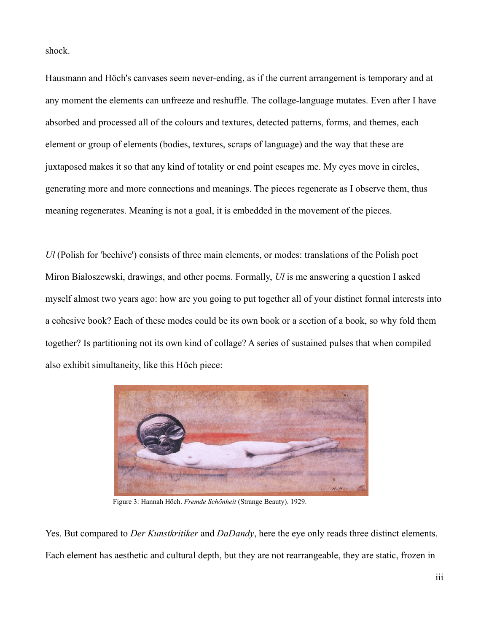shock.

Hausmann and Höch's canvases seem never-ending, as if the current arrangement is temporary and at any moment the elements can unfreeze and reshuffle. The collage-language mutates. Even after I have absorbed and processed all of the colours and textures, detected patterns, forms, and themes, each element or group of elements (bodies, textures, scraps of language) and the way that these are juxtaposed makes it so that any kind of totality or end point escapes me. My eyes move in circles, generating more and more connections and meanings. The pieces regenerate as I observe them, thus meaning regenerates. Meaning is not a goal, it is embedded in the movement of the pieces.

*Ul* (Polish for 'beehive') consists of three main elements, or modes: translations of the Polish poet Miron Białoszewski, drawings, and other poems. Formally, *Ul* is me answering a question I asked myself almost two years ago: how are you going to put together all of your distinct formal interests into a cohesive book? Each of these modes could be its own book or a section of a book, so why fold them together? Is partitioning not its own kind of collage? A series of sustained pulses that when compiled also exhibit simultaneity, like this Höch piece:



Figure 3: Hannah Höch. *Fremde Schönheit* (Strange Beauty). 1929.

Yes. But compared to *Der Kunstkritiker* and *DaDandy*, here the eye only reads three distinct elements. Each element has aesthetic and cultural depth, but they are not rearrangeable, they are static, frozen in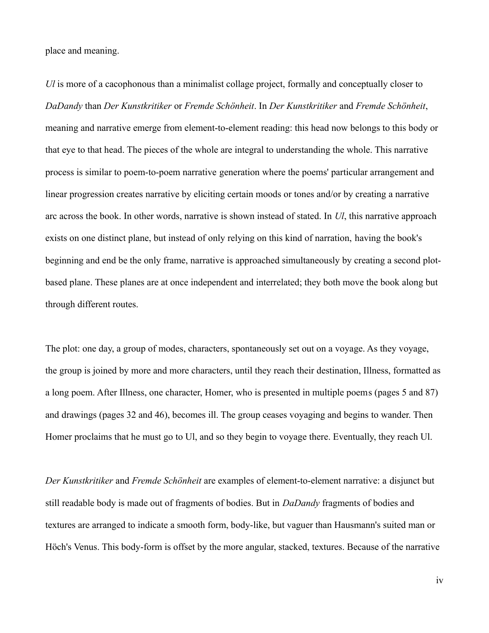place and meaning.

*Ul* is more of a cacophonous than a minimalist collage project, formally and conceptually closer to *DaDandy* than *Der Kunstkritiker* or *Fremde Schönheit*. In *Der Kunstkritiker* and *Fremde Schönheit*, meaning and narrative emerge from element-to-element reading: this head now belongs to this body or that eye to that head. The pieces of the whole are integral to understanding the whole. This narrative process is similar to poem-to-poem narrative generation where the poems' particular arrangement and linear progression creates narrative by eliciting certain moods or tones and/or by creating a narrative arc across the book. In other words, narrative is shown instead of stated. In *Ul*, this narrative approach exists on one distinct plane, but instead of only relying on this kind of narration, having the book's beginning and end be the only frame, narrative is approached simultaneously by creating a second plotbased plane. These planes are at once independent and interrelated; they both move the book along but through different routes.

The plot: one day, a group of modes, characters, spontaneously set out on a voyage. As they voyage, the group is joined by more and more characters, until they reach their destination, Illness, formatted as a long poem. After Illness, one character, Homer, who is presented in multiple poems (pages 5 and 87) and drawings (pages 32 and 46), becomes ill. The group ceases voyaging and begins to wander. Then Homer proclaims that he must go to Ul, and so they begin to voyage there. Eventually, they reach Ul.

*Der Kunstkritiker* and *Fremde Schönheit* are examples of element-to-element narrative: a disjunct but still readable body is made out of fragments of bodies. But in *DaDandy* fragments of bodies and textures are arranged to indicate a smooth form, body-like, but vaguer than Hausmann's suited man or Höch's Venus. This body-form is offset by the more angular, stacked, textures. Because of the narrative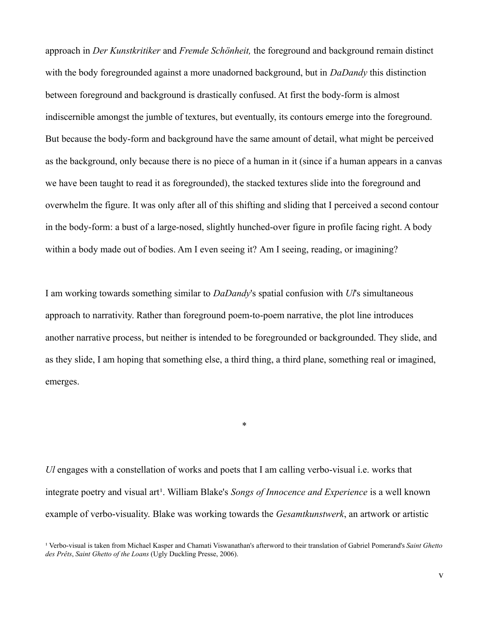approach in *Der Kunstkritiker* and *Fremde Schönheit,* the foreground and background remain distinct with the body foregrounded against a more unadorned background, but in *DaDandy* this distinction between foreground and background is drastically confused. At first the body-form is almost indiscernible amongst the jumble of textures, but eventually, its contours emerge into the foreground. But because the body-form and background have the same amount of detail, what might be perceived as the background, only because there is no piece of a human in it (since if a human appears in a canvas we have been taught to read it as foregrounded), the stacked textures slide into the foreground and overwhelm the figure. It was only after all of this shifting and sliding that I perceived a second contour in the body-form: a bust of a large-nosed, slightly hunched-over figure in profile facing right. A body within a body made out of bodies. Am I even seeing it? Am I seeing, reading, or imagining?

I am working towards something similar to *DaDandy*'s spatial confusion with *Ul*'s simultaneous approach to narrativity. Rather than foreground poem-to-poem narrative, the plot line introduces another narrative process, but neither is intended to be foregrounded or backgrounded. They slide, and as they slide, I am hoping that something else, a third thing, a third plane, something real or imagined, emerges.

*Ul* engages with a constellation of works and poets that I am calling verbo-visual i.e. works that integrate poetry and visual art<sup>1</sup>. William Blake's *Songs of Innocence and Experience* is a well known example of verbo-visuality. Blake was working towards the *Gesamtkunstwerk*, an artwork or artistic

\*

<sup>&</sup>lt;sup>1</sup> Verbo-visual is taken from Michael Kasper and Chamati Viswanathan's afterword to their translation of Gabriel Pomerand's *Saint Ghetto des Prêts*, *Saint Ghetto of the Loans* (Ugly Duckling Presse, 2006).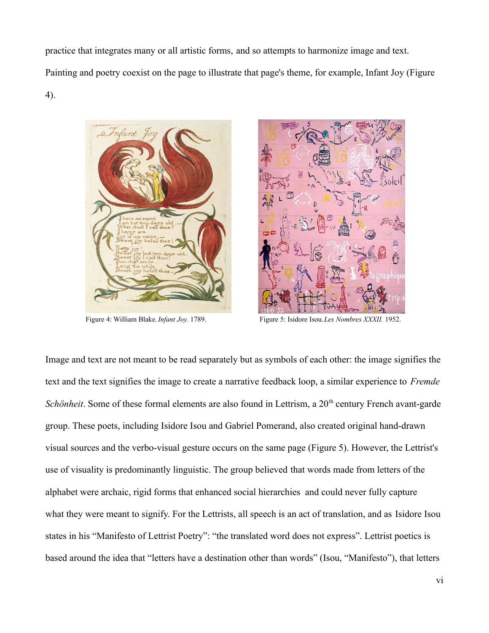practice that integrates many or all artistic forms, and so attempts to harmonize image and text. Painting and poetry coexist on the page to illustrate that page's theme, for example, Infant Joy (Figure 4).





Figure 4: William Blake. *Infant Joy.* 1789. Figure 5: Isidore Isou. *Les Nombres XXXII.* 1952.

Image and text are not meant to be read separately but as symbols of each other: the image signifies the text and the text signifies the image to create a narrative feedback loop, a similar experience to *Fremde Schönheit*. Some of these formal elements are also found in Lettrism, a 20<sup>th</sup> century French avant-garde group. These poets, including Isidore Isou and Gabriel Pomerand, also created original hand-drawn visual sources and the verbo-visual gesture occurs on the same page (Figure 5). However, the Lettrist's use of visuality is predominantly linguistic. The group believed that words made from letters of the alphabet were archaic, rigid forms that enhanced social hierarchies and could never fully capture what they were meant to signify. For the Lettrists, all speech is an act of translation, and as Isidore Isou states in his "Manifesto of Lettrist Poetry": "the translated word does not express". Lettrist poetics is based around the idea that "letters have a destination other than words" (Isou, "Manifesto"), that letters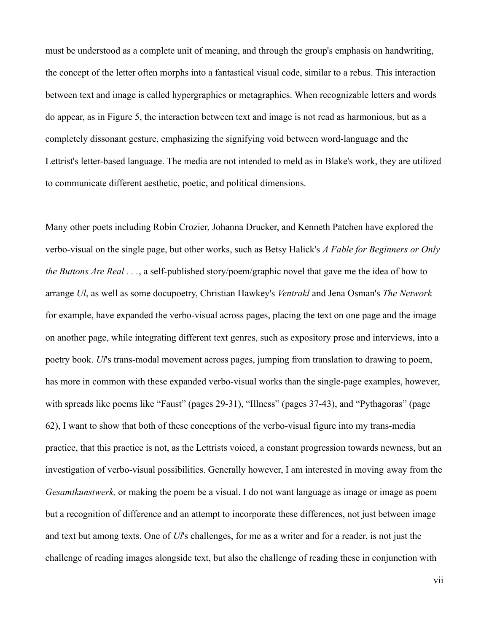must be understood as a complete unit of meaning, and through the group's emphasis on handwriting, the concept of the letter often morphs into a fantastical visual code, similar to a rebus. This interaction between text and image is called hypergraphics or metagraphics. When recognizable letters and words do appear, as in Figure 5, the interaction between text and image is not read as harmonious, but as a completely dissonant gesture, emphasizing the signifying void between word-language and the Lettrist's letter-based language. The media are not intended to meld as in Blake's work, they are utilized to communicate different aesthetic, poetic, and political dimensions.

Many other poets including Robin Crozier, Johanna Drucker, and Kenneth Patchen have explored the verbo-visual on the single page, but other works, such as Betsy Halick's *A Fable for Beginners or Only the Buttons Are Real . . .*, a self-published story/poem/graphic novel that gave me the idea of how to arrange *Ul*, as well as some docupoetry, Christian Hawkey's *Ventrakl* and Jena Osman's *The Network* for example, have expanded the verbo-visual across pages, placing the text on one page and the image on another page, while integrating different text genres, such as expository prose and interviews, into a poetry book. *Ul*'s trans-modal movement across pages, jumping from translation to drawing to poem, has more in common with these expanded verbo-visual works than the single-page examples, however, with spreads like poems like "Faust" (pages 29-31), "Illness" (pages 37-43), and "Pythagoras" (page 62), I want to show that both of these conceptions of the verbo-visual figure into my trans-media practice, that this practice is not, as the Lettrists voiced, a constant progression towards newness, but an investigation of verbo-visual possibilities. Generally however, I am interested in moving away from the *Gesamtkunstwerk,* or making the poem be a visual. I do not want language as image or image as poem but a recognition of difference and an attempt to incorporate these differences, not just between image and text but among texts. One of *Ul*'s challenges, for me as a writer and for a reader, is not just the challenge of reading images alongside text, but also the challenge of reading these in conjunction with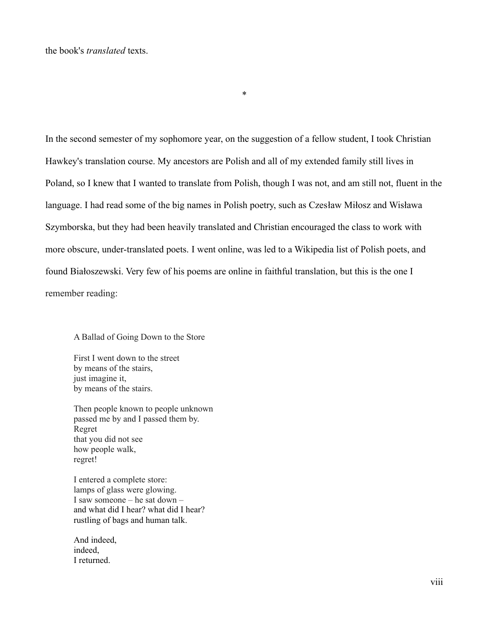In the second semester of my sophomore year, on the suggestion of a fellow student, I took Christian Hawkey's translation course. My ancestors are Polish and all of my extended family still lives in Poland, so I knew that I wanted to translate from Polish, though I was not, and am still not, fluent in the language. I had read some of the big names in Polish poetry, such as Czesław Miłosz and Wisława Szymborska, but they had been heavily translated and Christian encouraged the class to work with more obscure, under-translated poets. I went online, was led to a Wikipedia list of Polish poets, and found Białoszewski. Very few of his poems are online in faithful translation, but this is the one I remember reading:

\*

A Ballad of Going Down to the Store

First I went down to the street by means of the stairs, just imagine it, by means of the stairs.

Then people known to people unknown passed me by and I passed them by. Regret that you did not see how people walk, regret!

I entered a complete store: lamps of glass were glowing. I saw someone – he sat down – and what did I hear? what did I hear? rustling of bags and human talk.

And indeed, indeed, I returned.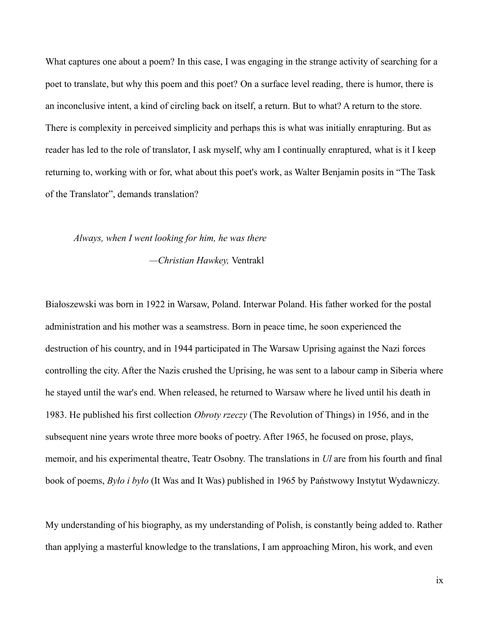What captures one about a poem? In this case, I was engaging in the strange activity of searching for a poet to translate, but why this poem and this poet? On a surface level reading, there is humor, there is an inconclusive intent, a kind of circling back on itself, a return. But to what? A return to the store. There is complexity in perceived simplicity and perhaps this is what was initially enrapturing. But as reader has led to the role of translator, I ask myself, why am I continually enraptured, what is it I keep returning to, working with or for, what about this poet's work, as Walter Benjamin posits in "The Task of the Translator", demands translation?

## *Always, when I went looking for him, he was there*

 *—Christian Hawkey,* Ventrakl

Białoszewski was born in 1922 in Warsaw, Poland. Interwar Poland. His father worked for the postal administration and his mother was a seamstress. Born in peace time, he soon experienced the destruction of his country, and in 1944 participated in The Warsaw Uprising against the Nazi forces controlling the city. After the Nazis crushed the Uprising, he was sent to a labour camp in Siberia where he stayed until the war's end. When released, he returned to Warsaw where he lived until his death in 1983. He published his first collection *Obroty rzeczy* (The Revolution of Things) in 1956, and in the subsequent nine years wrote three more books of poetry. After 1965, he focused on prose, plays, memoir, and his experimental theatre, Teatr Osobny. The translations in *Ul* are from his fourth and final book of poems, *Było i było* (It Was and It Was) published in 1965 by Państwowy Instytut Wydawniczy.

My understanding of his biography, as my understanding of Polish, is constantly being added to. Rather than applying a masterful knowledge to the translations, I am approaching Miron, his work, and even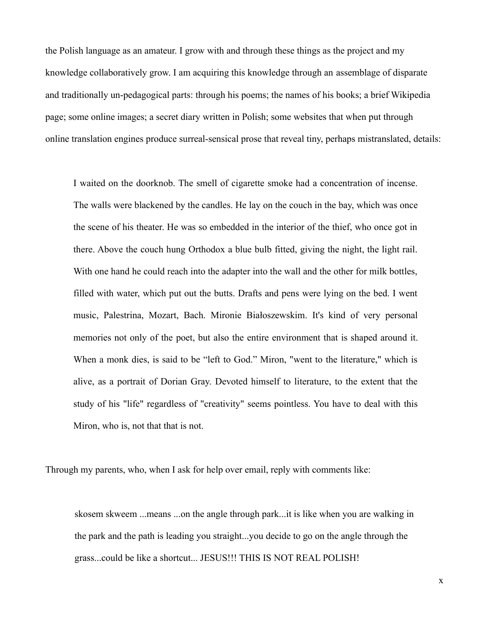the Polish language as an amateur. I grow with and through these things as the project and my knowledge collaboratively grow. I am acquiring this knowledge through an assemblage of disparate and traditionally un-pedagogical parts: through his poems; the names of his books; a brief Wikipedia page; some online images; a secret diary written in Polish; some websites that when put through online translation engines produce surreal-sensical prose that reveal tiny, perhaps mistranslated, details:

I waited on the doorknob. The smell of cigarette smoke had a concentration of incense. The walls were blackened by the candles. He lay on the couch in the bay, which was once the scene of his theater. He was so embedded in the interior of the thief, who once got in there. Above the couch hung Orthodox a blue bulb fitted, giving the night, the light rail. With one hand he could reach into the adapter into the wall and the other for milk bottles, filled with water, which put out the butts. Drafts and pens were lying on the bed. I went music, Palestrina, Mozart, Bach. Mironie Białoszewskim. It's kind of very personal memories not only of the poet, but also the entire environment that is shaped around it. When a monk dies, is said to be "left to God." Miron, "went to the literature," which is alive, as a portrait of Dorian Gray. Devoted himself to literature, to the extent that the study of his "life" regardless of "creativity" seems pointless. You have to deal with this Miron, who is, not that that is not.

Through my parents, who, when I ask for help over email, reply with comments like:

skosem skweem ...means ...on the angle through park...it is like when you are walking in the park and the path is leading you straight...you decide to go on the angle through the grass...could be like a shortcut... JESUS!!! THIS IS NOT REAL POLISH!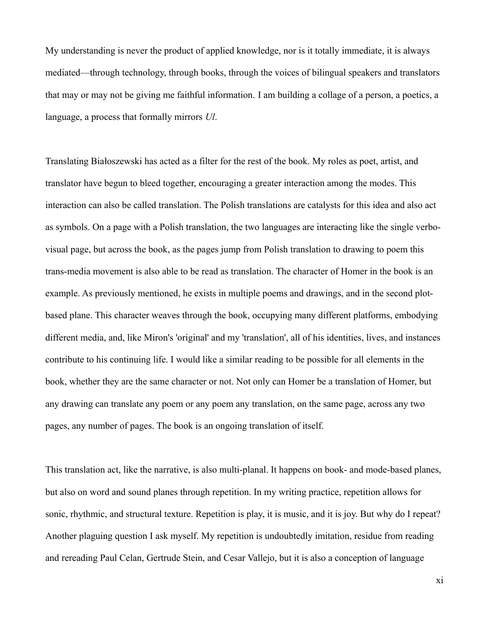My understanding is never the product of applied knowledge, nor is it totally immediate, it is always mediated—through technology, through books, through the voices of bilingual speakers and translators that may or may not be giving me faithful information. I am building a collage of a person, a poetics, a language, a process that formally mirrors *Ul*.

Translating Białoszewski has acted as a filter for the rest of the book. My roles as poet, artist, and translator have begun to bleed together, encouraging a greater interaction among the modes. This interaction can also be called translation. The Polish translations are catalysts for this idea and also act as symbols. On a page with a Polish translation, the two languages are interacting like the single verbovisual page, but across the book, as the pages jump from Polish translation to drawing to poem this trans-media movement is also able to be read as translation. The character of Homer in the book is an example. As previously mentioned, he exists in multiple poems and drawings, and in the second plotbased plane. This character weaves through the book, occupying many different platforms, embodying different media, and, like Miron's 'original' and my 'translation', all of his identities, lives, and instances contribute to his continuing life. I would like a similar reading to be possible for all elements in the book, whether they are the same character or not. Not only can Homer be a translation of Homer, but any drawing can translate any poem or any poem any translation, on the same page, across any two pages, any number of pages. The book is an ongoing translation of itself.

This translation act, like the narrative, is also multi-planal. It happens on book- and mode-based planes, but also on word and sound planes through repetition. In my writing practice, repetition allows for sonic, rhythmic, and structural texture. Repetition is play, it is music, and it is joy. But why do I repeat? Another plaguing question I ask myself. My repetition is undoubtedly imitation, residue from reading and rereading Paul Celan, Gertrude Stein, and Cesar Vallejo, but it is also a conception of language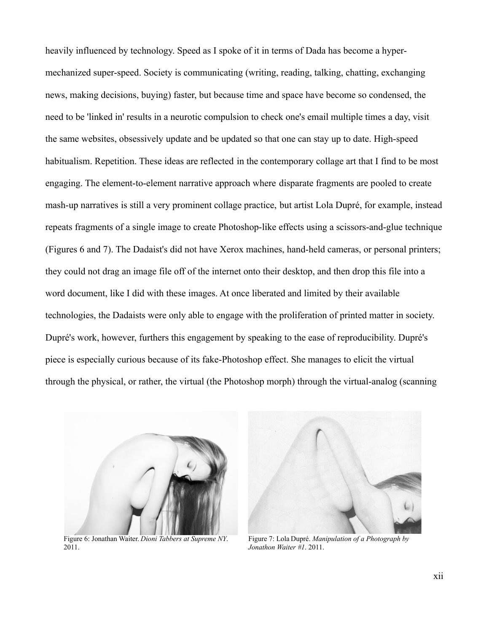heavily influenced by technology. Speed as I spoke of it in terms of Dada has become a hypermechanized super-speed. Society is communicating (writing, reading, talking, chatting, exchanging news, making decisions, buying) faster, but because time and space have become so condensed, the need to be 'linked in' results in a neurotic compulsion to check one's email multiple times a day, visit the same websites, obsessively update and be updated so that one can stay up to date. High-speed habitualism. Repetition. These ideas are reflected in the contemporary collage art that I find to be most engaging. The element-to-element narrative approach where disparate fragments are pooled to create mash-up narratives is still a very prominent collage practice, but artist Lola Dupré, for example, instead repeats fragments of a single image to create Photoshop-like effects using a scissors-and-glue technique (Figures 6 and 7). The Dadaist's did not have Xerox machines, hand-held cameras, or personal printers; they could not drag an image file off of the internet onto their desktop, and then drop this file into a word document, like I did with these images. At once liberated and limited by their available technologies, the Dadaists were only able to engage with the proliferation of printed matter in society. Dupré's work, however, furthers this engagement by speaking to the ease of reproducibility. Dupré's piece is especially curious because of its fake-Photoshop effect. She manages to elicit the virtual through the physical, or rather, the virtual (the Photoshop morph) through the virtual-analog (scanning



 Figure 6: Jonathan Waiter. *Dioni Tabbers at Supreme NY*. Figure 7: Lola Dupré. *Manipulation of a Photograph by* 2011. *Jonathon Waiter #1*. 2011.

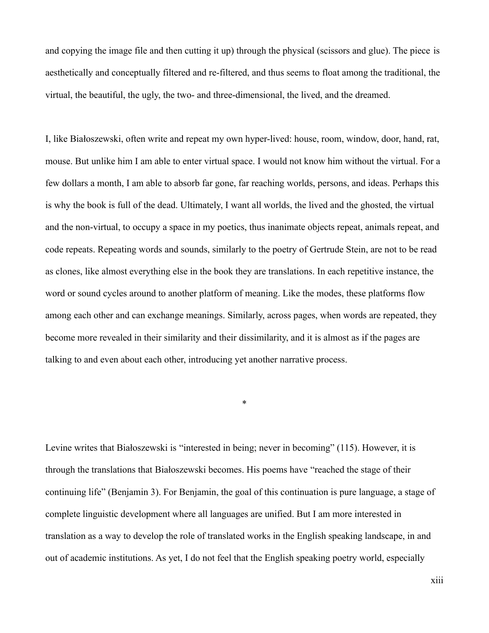and copying the image file and then cutting it up) through the physical (scissors and glue). The piece is aesthetically and conceptually filtered and re-filtered, and thus seems to float among the traditional, the virtual, the beautiful, the ugly, the two- and three-dimensional, the lived, and the dreamed.

I, like Białoszewski, often write and repeat my own hyper-lived: house, room, window, door, hand, rat, mouse. But unlike him I am able to enter virtual space. I would not know him without the virtual. For a few dollars a month, I am able to absorb far gone, far reaching worlds, persons, and ideas. Perhaps this is why the book is full of the dead. Ultimately, I want all worlds, the lived and the ghosted, the virtual and the non-virtual, to occupy a space in my poetics, thus inanimate objects repeat, animals repeat, and code repeats. Repeating words and sounds, similarly to the poetry of Gertrude Stein, are not to be read as clones, like almost everything else in the book they are translations. In each repetitive instance, the word or sound cycles around to another platform of meaning. Like the modes, these platforms flow among each other and can exchange meanings. Similarly, across pages, when words are repeated, they become more revealed in their similarity and their dissimilarity, and it is almost as if the pages are talking to and even about each other, introducing yet another narrative process.

Levine writes that Białoszewski is "interested in being; never in becoming" (115). However, it is through the translations that Białoszewski becomes. His poems have "reached the stage of their continuing life" (Benjamin 3). For Benjamin, the goal of this continuation is pure language, a stage of complete linguistic development where all languages are unified. But I am more interested in translation as a way to develop the role of translated works in the English speaking landscape, in and out of academic institutions. As yet, I do not feel that the English speaking poetry world, especially

\*

xiii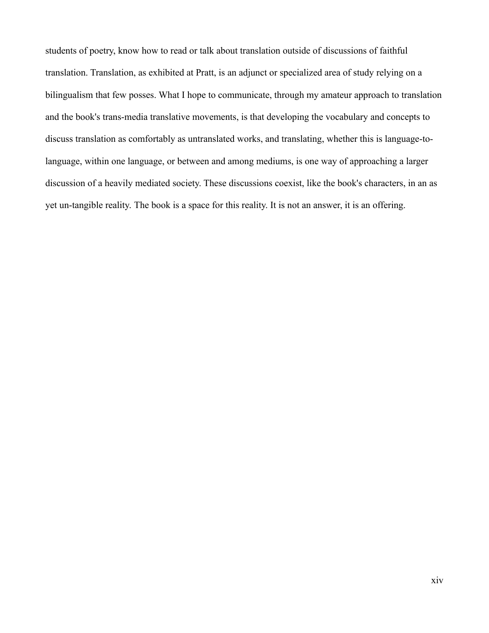students of poetry, know how to read or talk about translation outside of discussions of faithful translation. Translation, as exhibited at Pratt, is an adjunct or specialized area of study relying on a bilingualism that few posses. What I hope to communicate, through my amateur approach to translation and the book's trans-media translative movements, is that developing the vocabulary and concepts to discuss translation as comfortably as untranslated works, and translating, whether this is language-tolanguage, within one language, or between and among mediums, is one way of approaching a larger discussion of a heavily mediated society. These discussions coexist, like the book's characters, in an as yet un-tangible reality. The book is a space for this reality. It is not an answer, it is an offering.